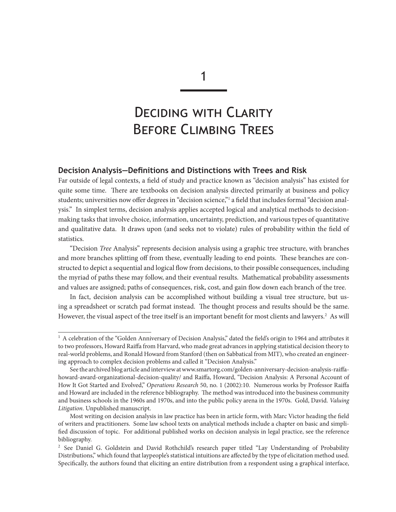1

# DECIDING WITH CLARITY Before Climbing Trees

## **Decision Analysis—Definitions and Distinctions with Trees and Risk**

Far outside of legal contexts, a field of study and practice known as "decision analysis" has existed for quite some time. There are textbooks on decision analysis directed primarily at business and policy students; universities now offer degrees in "decision science,"1 a field that includes formal "decision analysis." In simplest terms, decision analysis applies accepted logical and analytical methods to decisionmaking tasks that involve choice, information, uncertainty, prediction, and various types of quantitative and qualitative data. It draws upon (and seeks not to violate) rules of probability within the field of statistics.

"Decision *Tree* Analysis" represents decision analysis using a graphic tree structure, with branches and more branches splitting off from these, eventually leading to end points. These branches are constructed to depict a sequential and logical flow from decisions, to their possible consequences, including the myriad of paths these may follow, and their eventual results. Mathematical probability assessments and values are assigned; paths of consequences, risk, cost, and gain flow down each branch of the tree.

In fact, decision analysis can be accomplished without building a visual tree structure, but using a spreadsheet or scratch pad format instead. The thought process and results should be the same. However, the visual aspect of the tree itself is an important benefit for most clients and lawyers.<sup>2</sup> As will

 $1$  A celebration of the "Golden Anniversary of Decision Analysis," dated the field's origin to 1964 and attributes it to two professors, Howard Raiffa from Harvard, who made great advances in applying statistical decision theory to real-world problems, and Ronald Howard from Stanford (then on Sabbatical from MIT), who created an engineering approach to complex decision problems and called it "Decision Analysis."

See the archived blog article and interview at www.smartorg.com/golden-anniversary-decision-analysis-raiffahoward-award-organizational-decision-quality/ and Raiffa, Howard, "Decision Analysis: A Personal Account of How It Got Started and Evolved," *Operations Research* 50, no. 1 (2002):10. Numerous works by Professor Raiffa and Howard are included in the reference bibliography. The method was introduced into the business community and business schools in the 1960s and 1970s, and into the public policy arena in the 1970s. Gold, David. *Valuing Litigation*. Unpublished manuscript.

Most writing on decision analysis in law practice has been in article form, with Marc Victor heading the field of writers and practitioners. Some law school texts on analytical methods include a chapter on basic and simplified discussion of topic. For additional published works on decision analysis in legal practice, see the reference bibliography.

<sup>&</sup>lt;sup>2</sup> See Daniel G. Goldstein and David Rothchild's research paper titled "Lay Understanding of Probability Distributions," which found that laypeople's statistical intuitions are affected by the type of elicitation method used. Specifically, the authors found that eliciting an entire distribution from a respondent using a graphical interface,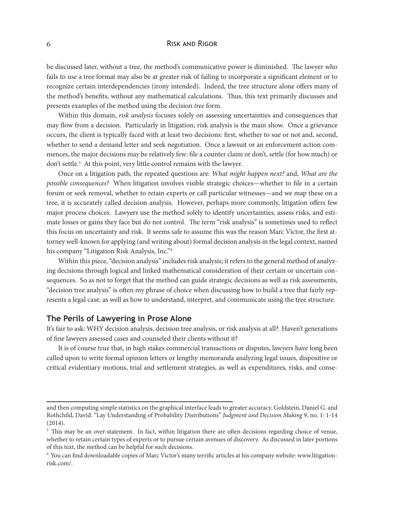#### 6 Risk and Rigor

be discussed later, without a tree, the method's communicative power is diminished. The lawyer who fails to use a tree format may also be at greater risk of failing to incorporate a significant element or to recognize certain interdependencies (irony intended). Indeed, the tree structure alone offers many of the method's benefits, without any mathematical calculations. Thus, this text primarily discusses and presents examples of the method using the decision *tree* form.

Within this domain, *risk analysis* focuses solely on assessing uncertainties and consequences that may flow from a decision. Particularly in litigation, risk analysis is the main show. Once a grievance occurs, the client is typically faced with at least two decisions: first, whether to sue or not and, second, whether to send a demand letter and seek negotiation. Once a lawsuit or an enforcement action commences, the major decisions may be relatively few: file a counter claim or don't, settle (for how much) or don't settle.<sup>3</sup> At this point, very little control remains with the lawyer.

Once on a litigation path, the repeated questions are: *What might happen next?* and, *What are the possible consequences?* When litigation involves visible strategic choices—whether to file in a certain forum or seek removal, whether to retain experts or call particular witnesses—and we map these on a tree, it is accurately called decision analysis. However, perhaps more commonly, litigation offers few major process choices. Lawyers use the method solely to identify uncertainties, assess risks, and estimate losses or gains they face but do not control. The term "risk analysis" is sometimes used to reflect this focus on uncertainty and risk. It seems safe to assume this was the reason Marc Victor, the first attorney well-known for applying (and writing about) formal decision analysis in the legal context, named his company "Litigation Risk Analysis, Inc."4

Within this piece, "decision analysis" includes risk analysis; it refers to the general method of analyzing decisions through logical and linked mathematical consideration of their certain or uncertain consequences. So as not to forget that the method can guide strategic decisions as well as risk assessments, "decision tree analysis" is often my phrase of choice when discussing how to build a tree that fairly represents a legal case, as well as how to understand, interpret, and communicate using the tree structure.

#### **The Perils of Lawyering in Prose Alone**

It's fair to ask: WHY decision analysis, decision tree analysis, or risk analysis at all? Haven't generations of fine lawyers assessed cases and counseled their clients without it?

It is of course true that, in high stakes commercial transactions or disputes, lawyers have long been called upon to write formal opinion letters or lengthy memoranda analyzing legal issues, dispositive or critical evidentiary motions, trial and settlement strategies, as well as expenditures, risks, and conse-

and then computing simple statistics on the graphical interface leads to greater accuracy. Goldstein, Daniel G. and Rothchild, David. "Lay Understanding of Probability Distributions" *Judgment and Decision Making* 9, no. 1: 1-14 (2014).

<sup>&</sup>lt;sup>3</sup> This may be an over-statement. In fact, within litigation there are often decisions regarding choice of venue, whether to retain certain types of experts or to pursue certain avenues of discovery. As discussed in later portions of this text, the method can be helpful for such decisions.

<sup>4</sup> You can find downloadable copies of Marc Victor's many terrific articles at his company website: www.litigationrisk.com/.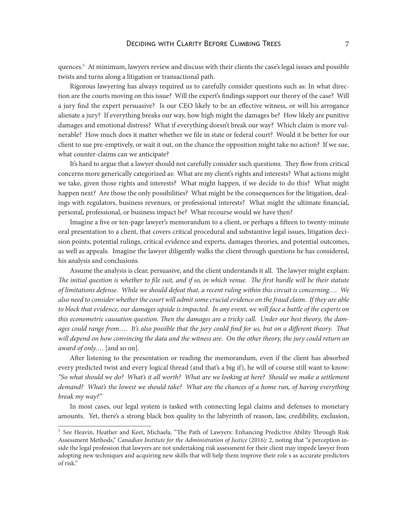quences.5 At minimum, lawyers review and discuss with their clients the case's legal issues and possible twists and turns along a litigation or transactional path.

Rigorous lawyering has always required us to carefully consider questions such as: In what direction are the courts moving on this issue? Will the expert's findings support our theory of the case? Will a jury find the expert persuasive? Is our CEO likely to be an effective witness, or will his arrogance alienate a jury? If everything breaks our way, how high might the damages be? How likely are punitive damages and emotional distress? What if everything doesn't break our way? Which claim is more vulnerable? How much does it matter whether we file in state or federal court? Would it be better for our client to sue pre-emptively, or wait it out, on the chance the opposition might take no action? If we sue, what counter-claims can we anticipate?

It's hard to argue that a lawyer should not carefully consider such questions. They flow from critical concerns more generically categorized as: What are my client's rights and interests? What actions might we take, given those rights and interests? What might happen, if we decide to do this? What might happen next? Are those the only possibilities? What might be the consequences for the litigation, dealings with regulators, business revenues, or professional interests? What might the ultimate financial, personal, professional, or business impact be? What recourse would we have then?

Imagine a five or ten-page lawyer's memorandum to a client, or perhaps a fifteen to twenty-minute oral presentation to a client, that covers critical procedural and substantive legal issues, litigation decision points, potential rulings, critical evidence and experts, damages theories, and potential outcomes, as well as appeals. Imagine the lawyer diligently walks the client through questions he has considered, his analysis and conclusions.

Assume the analysis is clear, persuasive, and the client understands it all. The lawyer might explain: *The initial question is whether to file suit, and if so, in which venue. The first hurdle will be their statute of limitations defense. While we should defeat that, a recent ruling within this circuit is concerning…. We also need to consider whether the court will admit some crucial evidence on the fraud claim. If they are able*  to block that evidence, our damages upside is impacted. In any event, we will face a battle of the experts on *this econometric causation question. Then the damages are a tricky call. Under our best theory, the damages could range from…. It's also possible that the jury could find for us, but on a different theory. That will depend on how convincing the data and the witness are. On the other theory, the jury could return an award of only….* [and so on].

After listening to the presentation or reading the memorandum, even if the client has absorbed every predicted twist and every logical thread (and that's a big if), he will of course still want to know: *"So what should we do? What's it all worth? What are we looking at here? Should we make a settlement demand? What's the lowest we should take? What are the chances of a home run, of having everything break my way?"*

In most cases, our legal system is tasked with connecting legal claims and defenses to monetary amounts. Yet, there's a strong black box quality to the labyrinth of reason, law, credibility, exclusion,

<sup>&</sup>lt;sup>5</sup> See Heavin, Heather and Keet, Michaela, "The Path of Lawyers: Enhancing Predictive Ability Through Risk Assessment Methods," *Canadian Institute for the Administration of Justice* (2016): 2, noting that "a perception inside the legal profession that lawyers are not undertaking risk assessment for their client may impede lawyer from adopting new techniques and acquiring new skills that will help them improve their role s as accurate predictors of risk."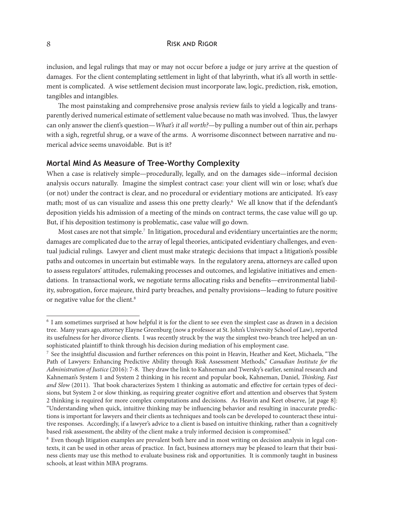## 8 **RISK AND RIGOR**

inclusion, and legal rulings that may or may not occur before a judge or jury arrive at the question of damages. For the client contemplating settlement in light of that labyrinth, what it's all worth in settlement is complicated. A wise settlement decision must incorporate law, logic, prediction, risk, emotion, tangibles and intangibles.

The most painstaking and comprehensive prose analysis review fails to yield a logically and transparently derived numerical estimate of settlement value because no math was involved. Thus, the lawyer can only answer the client's question—*What's it all worth?*—by pulling a number out of thin air, perhaps with a sigh, regretful shrug, or a wave of the arms. A worrisome disconnect between narrative and numerical advice seems unavoidable. But is it?

## **Mortal Mind As Measure of Tree-Worthy Complexity**

When a case is relatively simple—procedurally, legally, and on the damages side—informal decision analysis occurs naturally. Imagine the simplest contract case: your client will win or lose; what's due (or not) under the contract is clear, and no procedural or evidentiary motions are anticipated. It's easy math; most of us can visualize and assess this one pretty clearly.<sup>6</sup> We all know that if the defendant's deposition yields his admission of a meeting of the minds on contract terms, the case value will go up. But, if his deposition testimony is problematic, case value will go down.

Most cases are not that simple.<sup>7</sup> In litigation, procedural and evidentiary uncertainties are the norm; damages are complicated due to the array of legal theories, anticipated evidentiary challenges, and eventual judicial rulings. Lawyer and client must make strategic decisions that impact a litigation's possible paths and outcomes in uncertain but estimable ways. In the regulatory arena, attorneys are called upon to assess regulators' attitudes, rulemaking processes and outcomes, and legislative initiatives and emendations. In transactional work, we negotiate terms allocating risks and benefits—environmental liability, subrogation, force majeure, third party breaches, and penalty provisions—leading to future positive or negative value for the client.<sup>8</sup>

<sup>6</sup> I am sometimes surprised at how helpful it is for the client to see even the simplest case as drawn in a decision tree. Many years ago, attorney Elayne Greenburg (now a professor at St. John's University School of Law), reported its usefulness for her divorce clients. I was recently struck by the way the simplest two-branch tree helped an unsophisticated plaintiff to think through his decision during mediation of his employment case.

 $^7$  See the insightful discussion and further references on this point in Heavin, Heather and Keet, Michaela, "The Path of Lawyers: Enhancing Predictive Ability through Risk Assessment Methods," *Canadian Institute for the Administration of Justice* (2016): 7-8. They draw the link to Kahneman and Twersky's earlier, seminal research and Kahneman's System 1 and System 2 thinking in his recent and popular book, Kahneman, Daniel, *Thinking, Fast and Slow* (2011). That book characterizes System 1 thinking as automatic and effective for certain types of decisions, but System 2 or slow thinking, as requiring greater cognitive effort and attention and observes that System 2 thinking is required for more complex computations and decisions. As Heavin and Keet observe, [at page 8]: "Understanding when quick, intuitive thinking may be influencing behavior and resulting in inaccurate predictions is important for lawyers and their clients as techniques and tools can be developed to counteract these intuitive responses. Accordingly, if a lawyer's advice to a client is based on intuitive thinking, rather than a cognitively based risk assessment, the ability of the client make a truly informed decision is compromised."

<sup>8</sup> Even though litigation examples are prevalent both here and in most writing on decision analysis in legal contexts, it can be used in other areas of practice. In fact, business attorneys may be pleased to learn that their business clients may use this method to evaluate business risk and opportunities. It is commonly taught in business schools, at least within MBA programs.